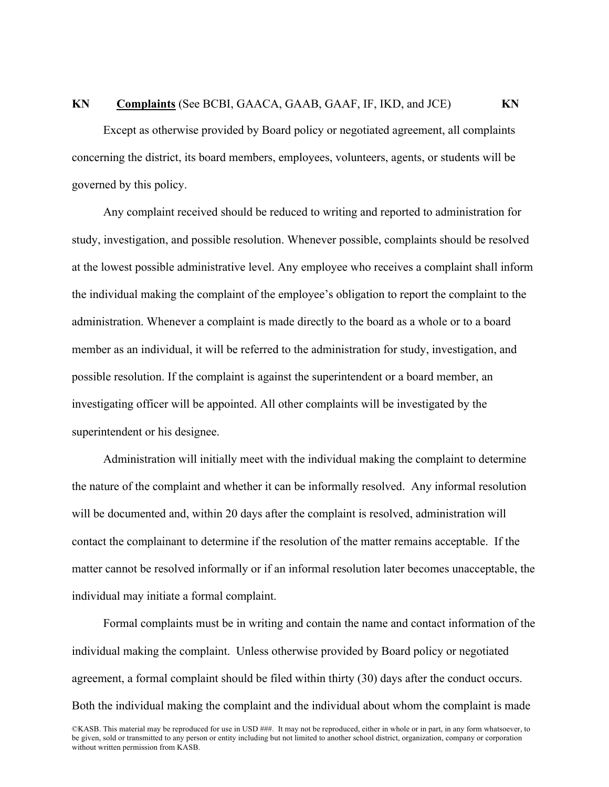## **KN Complaints** (See BCBI, GAACA, GAAB, GAAF, IF, IKD, and JCE) **KN**

Except as otherwise provided by Board policy or negotiated agreement, all complaints concerning the district, its board members, employees, volunteers, agents, or students will be governed by this policy.

Any complaint received should be reduced to writing and reported to administration for study, investigation, and possible resolution. Whenever possible, complaints should be resolved at the lowest possible administrative level. Any employee who receives a complaint shall inform the individual making the complaint of the employee's obligation to report the complaint to the administration. Whenever a complaint is made directly to the board as a whole or to a board member as an individual, it will be referred to the administration for study, investigation, and possible resolution. If the complaint is against the superintendent or a board member, an investigating officer will be appointed. All other complaints will be investigated by the superintendent or his designee.

Administration will initially meet with the individual making the complaint to determine the nature of the complaint and whether it can be informally resolved. Any informal resolution will be documented and, within 20 days after the complaint is resolved, administration will contact the complainant to determine if the resolution of the matter remains acceptable. If the matter cannot be resolved informally or if an informal resolution later becomes unacceptable, the individual may initiate a formal complaint.

Formal complaints must be in writing and contain the name and contact information of the individual making the complaint. Unless otherwise provided by Board policy or negotiated agreement, a formal complaint should be filed within thirty (30) days after the conduct occurs. Both the individual making the complaint and the individual about whom the complaint is made

©KASB. This material may be reproduced for use in USD ###. It may not be reproduced, either in whole or in part, in any form whatsoever, to be given, sold or transmitted to any person or entity including but not limited to another school district, organization, company or corporation without written permission from KASB.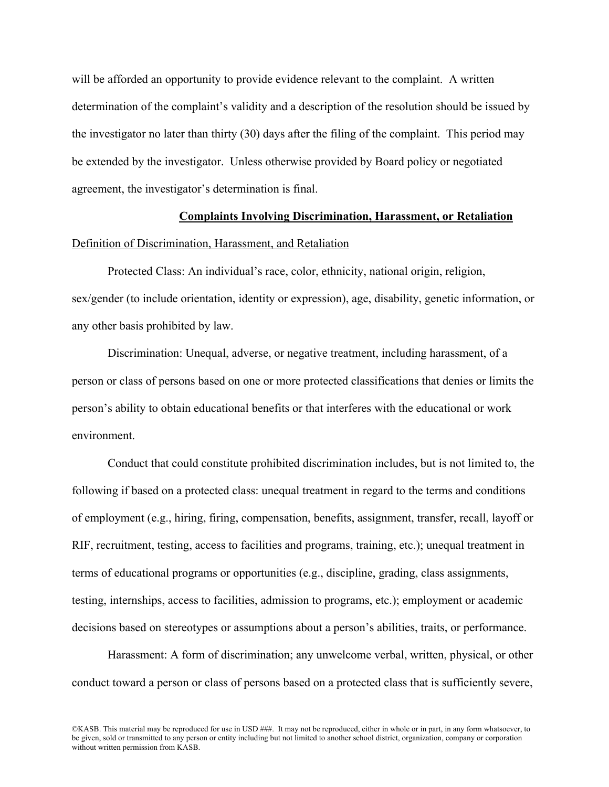will be afforded an opportunity to provide evidence relevant to the complaint. A written determination of the complaint's validity and a description of the resolution should be issued by the investigator no later than thirty (30) days after the filing of the complaint. This period may be extended by the investigator. Unless otherwise provided by Board policy or negotiated agreement, the investigator's determination is final.

## **Complaints Involving Discrimination, Harassment, or Retaliation**

### Definition of Discrimination, Harassment, and Retaliation

Protected Class: An individual's race, color, ethnicity, national origin, religion, sex/gender (to include orientation, identity or expression), age, disability, genetic information, or any other basis prohibited by law.

Discrimination: Unequal, adverse, or negative treatment, including harassment, of a person or class of persons based on one or more protected classifications that denies or limits the person's ability to obtain educational benefits or that interferes with the educational or work environment.

Conduct that could constitute prohibited discrimination includes, but is not limited to, the following if based on a protected class: unequal treatment in regard to the terms and conditions of employment (e.g., hiring, firing, compensation, benefits, assignment, transfer, recall, layoff or RIF, recruitment, testing, access to facilities and programs, training, etc.); unequal treatment in terms of educational programs or opportunities (e.g., discipline, grading, class assignments, testing, internships, access to facilities, admission to programs, etc.); employment or academic decisions based on stereotypes or assumptions about a person's abilities, traits, or performance.

Harassment: A form of discrimination; any unwelcome verbal, written, physical, or other conduct toward a person or class of persons based on a protected class that is sufficiently severe,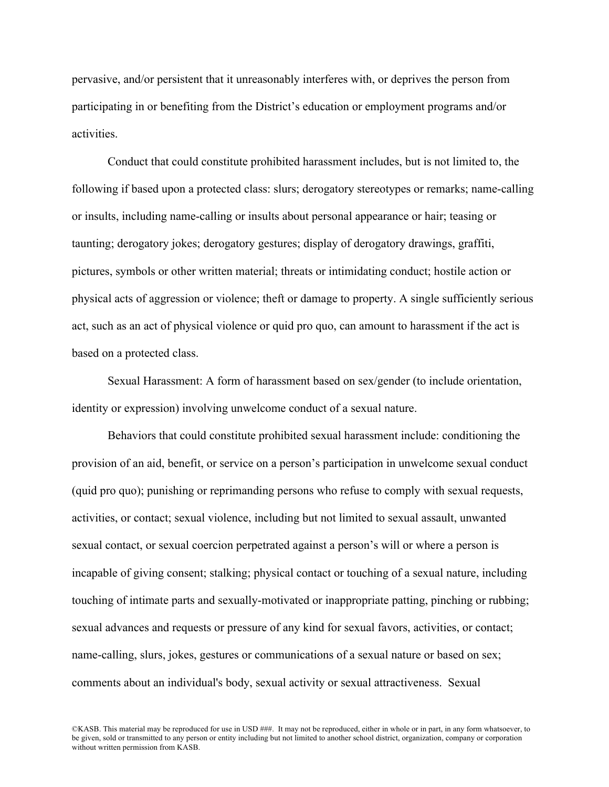pervasive, and/or persistent that it unreasonably interferes with, or deprives the person from participating in or benefiting from the District's education or employment programs and/or activities.

Conduct that could constitute prohibited harassment includes, but is not limited to, the following if based upon a protected class: slurs; derogatory stereotypes or remarks; name-calling or insults, including name-calling or insults about personal appearance or hair; teasing or taunting; derogatory jokes; derogatory gestures; display of derogatory drawings, graffiti, pictures, symbols or other written material; threats or intimidating conduct; hostile action or physical acts of aggression or violence; theft or damage to property. A single sufficiently serious act, such as an act of physical violence or quid pro quo, can amount to harassment if the act is based on a protected class.

Sexual Harassment: A form of harassment based on sex/gender (to include orientation, identity or expression) involving unwelcome conduct of a sexual nature.

Behaviors that could constitute prohibited sexual harassment include: conditioning the provision of an aid, benefit, or service on a person's participation in unwelcome sexual conduct (quid pro quo); punishing or reprimanding persons who refuse to comply with sexual requests, activities, or contact; sexual violence, including but not limited to sexual assault, unwanted sexual contact, or sexual coercion perpetrated against a person's will or where a person is incapable of giving consent; stalking; physical contact or touching of a sexual nature, including touching of intimate parts and sexually-motivated or inappropriate patting, pinching or rubbing; sexual advances and requests or pressure of any kind for sexual favors, activities, or contact; name-calling, slurs, jokes, gestures or communications of a sexual nature or based on sex; comments about an individual's body, sexual activity or sexual attractiveness. Sexual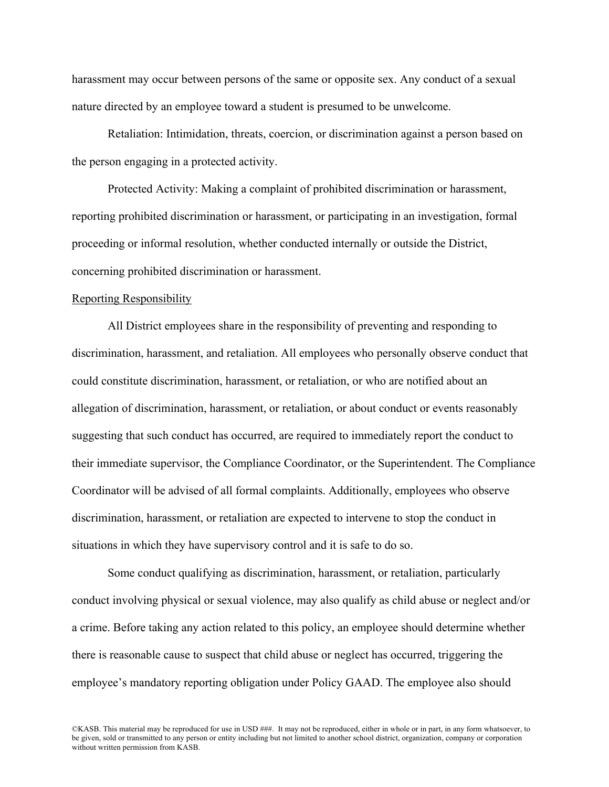harassment may occur between persons of the same or opposite sex. Any conduct of a sexual nature directed by an employee toward a student is presumed to be unwelcome.

Retaliation: Intimidation, threats, coercion, or discrimination against a person based on the person engaging in a protected activity.

Protected Activity: Making a complaint of prohibited discrimination or harassment, reporting prohibited discrimination or harassment, or participating in an investigation, formal proceeding or informal resolution, whether conducted internally or outside the District, concerning prohibited discrimination or harassment.

#### Reporting Responsibility

All District employees share in the responsibility of preventing and responding to discrimination, harassment, and retaliation. All employees who personally observe conduct that could constitute discrimination, harassment, or retaliation, or who are notified about an allegation of discrimination, harassment, or retaliation, or about conduct or events reasonably suggesting that such conduct has occurred, are required to immediately report the conduct to their immediate supervisor, the Compliance Coordinator, or the Superintendent. The Compliance Coordinator will be advised of all formal complaints. Additionally, employees who observe discrimination, harassment, or retaliation are expected to intervene to stop the conduct in situations in which they have supervisory control and it is safe to do so.

Some conduct qualifying as discrimination, harassment, or retaliation, particularly conduct involving physical or sexual violence, may also qualify as child abuse or neglect and/or a crime. Before taking any action related to this policy, an employee should determine whether there is reasonable cause to suspect that child abuse or neglect has occurred, triggering the employee's mandatory reporting obligation under Policy GAAD. The employee also should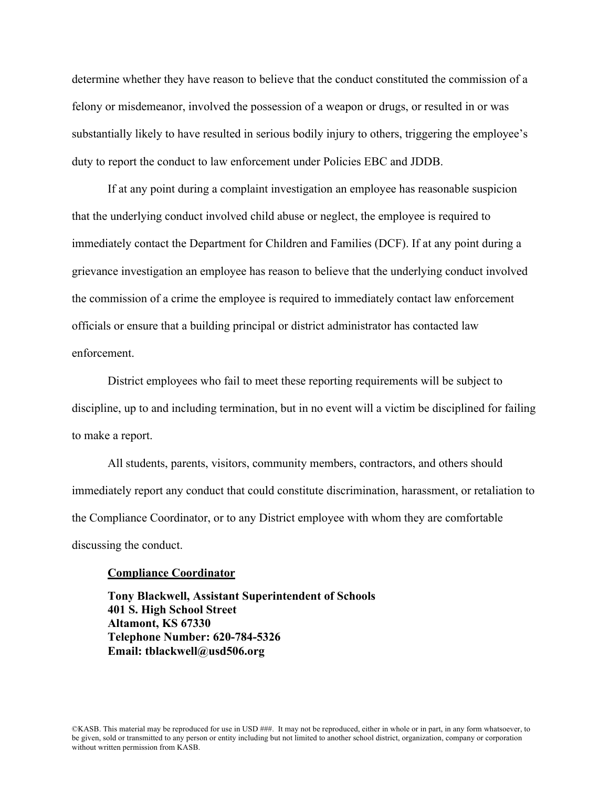determine whether they have reason to believe that the conduct constituted the commission of a felony or misdemeanor, involved the possession of a weapon or drugs, or resulted in or was substantially likely to have resulted in serious bodily injury to others, triggering the employee's duty to report the conduct to law enforcement under Policies EBC and JDDB.

If at any point during a complaint investigation an employee has reasonable suspicion that the underlying conduct involved child abuse or neglect, the employee is required to immediately contact the Department for Children and Families (DCF). If at any point during a grievance investigation an employee has reason to believe that the underlying conduct involved the commission of a crime the employee is required to immediately contact law enforcement officials or ensure that a building principal or district administrator has contacted law enforcement.

District employees who fail to meet these reporting requirements will be subject to discipline, up to and including termination, but in no event will a victim be disciplined for failing to make a report.

All students, parents, visitors, community members, contractors, and others should immediately report any conduct that could constitute discrimination, harassment, or retaliation to the Compliance Coordinator, or to any District employee with whom they are comfortable discussing the conduct.

### **Compliance Coordinator**

**Tony Blackwell, Assistant Superintendent of Schools 401 S. High School Street Altamont, KS 67330 Telephone Number: 620-784-5326 Email: tblackwell@usd506.org**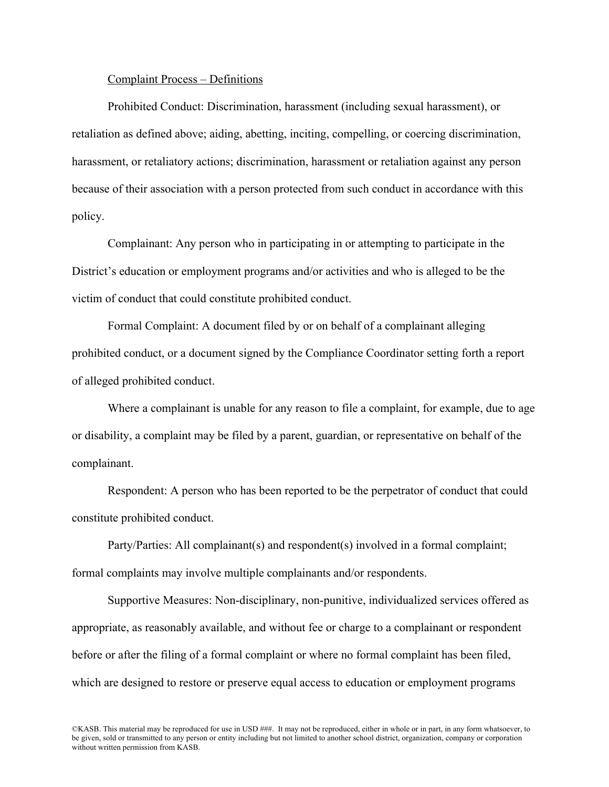### Complaint Process – Definitions

Prohibited Conduct: Discrimination, harassment (including sexual harassment), or retaliation as defined above; aiding, abetting, inciting, compelling, or coercing discrimination, harassment, or retaliatory actions; discrimination, harassment or retaliation against any person because of their association with a person protected from such conduct in accordance with this policy.

Complainant: Any person who in participating in or attempting to participate in the District's education or employment programs and/or activities and who is alleged to be the victim of conduct that could constitute prohibited conduct.

Formal Complaint: A document filed by or on behalf of a complainant alleging prohibited conduct, or a document signed by the Compliance Coordinator setting forth a report of alleged prohibited conduct.

Where a complainant is unable for any reason to file a complaint, for example, due to age or disability, a complaint may be filed by a parent, guardian, or representative on behalf of the complainant.

Respondent: A person who has been reported to be the perpetrator of conduct that could constitute prohibited conduct.

Party/Parties: All complainant(s) and respondent(s) involved in a formal complaint; formal complaints may involve multiple complainants and/or respondents.

Supportive Measures: Non-disciplinary, non-punitive, individualized services offered as appropriate, as reasonably available, and without fee or charge to a complainant or respondent before or after the filing of a formal complaint or where no formal complaint has been filed, which are designed to restore or preserve equal access to education or employment programs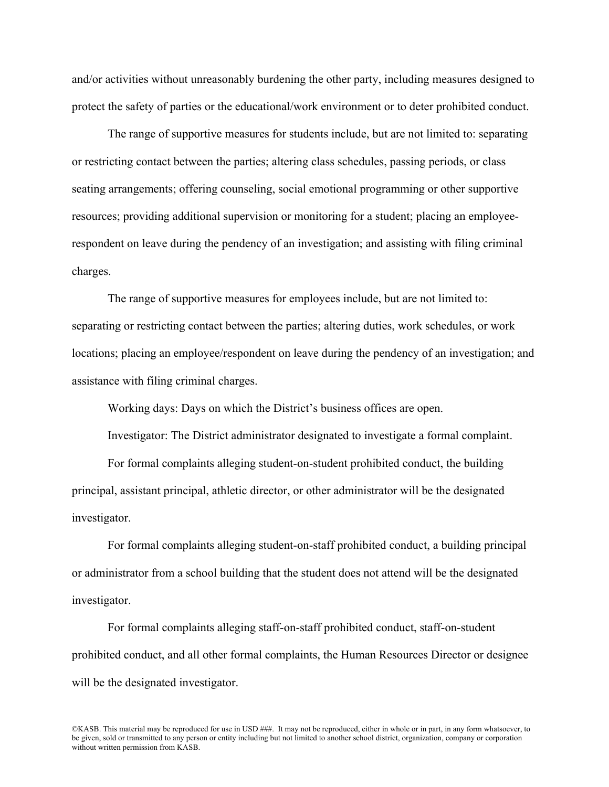and/or activities without unreasonably burdening the other party, including measures designed to protect the safety of parties or the educational/work environment or to deter prohibited conduct.

The range of supportive measures for students include, but are not limited to: separating or restricting contact between the parties; altering class schedules, passing periods, or class seating arrangements; offering counseling, social emotional programming or other supportive resources; providing additional supervision or monitoring for a student; placing an employeerespondent on leave during the pendency of an investigation; and assisting with filing criminal charges.

The range of supportive measures for employees include, but are not limited to: separating or restricting contact between the parties; altering duties, work schedules, or work locations; placing an employee/respondent on leave during the pendency of an investigation; and assistance with filing criminal charges.

Working days: Days on which the District's business offices are open.

Investigator: The District administrator designated to investigate a formal complaint.

For formal complaints alleging student-on-student prohibited conduct, the building principal, assistant principal, athletic director, or other administrator will be the designated investigator.

For formal complaints alleging student-on-staff prohibited conduct, a building principal or administrator from a school building that the student does not attend will be the designated investigator.

For formal complaints alleging staff-on-staff prohibited conduct, staff-on-student prohibited conduct, and all other formal complaints, the Human Resources Director or designee will be the designated investigator.

©KASB. This material may be reproduced for use in USD ###. It may not be reproduced, either in whole or in part, in any form whatsoever, to be given, sold or transmitted to any person or entity including but not limited to another school district, organization, company or corporation without written permission from KASB.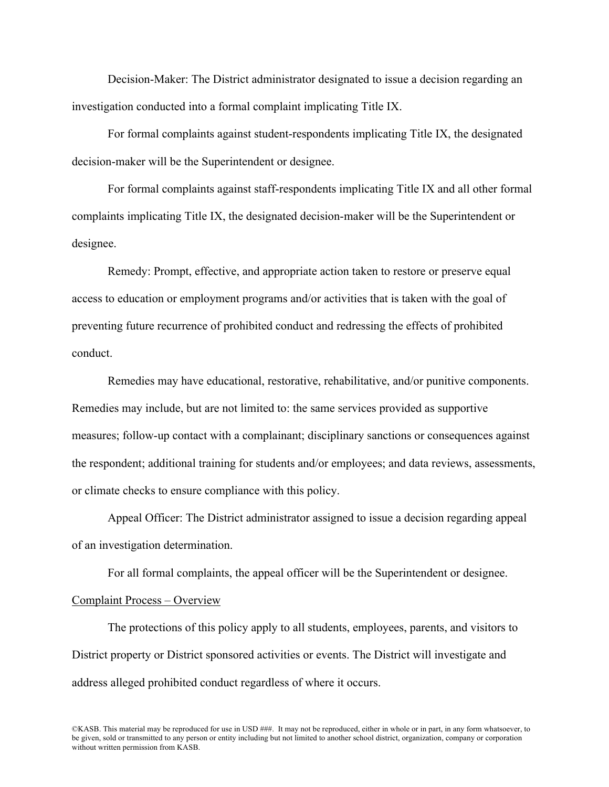Decision-Maker: The District administrator designated to issue a decision regarding an investigation conducted into a formal complaint implicating Title IX.

For formal complaints against student-respondents implicating Title IX, the designated decision-maker will be the Superintendent or designee.

For formal complaints against staff-respondents implicating Title IX and all other formal complaints implicating Title IX, the designated decision-maker will be the Superintendent or designee.

Remedy: Prompt, effective, and appropriate action taken to restore or preserve equal access to education or employment programs and/or activities that is taken with the goal of preventing future recurrence of prohibited conduct and redressing the effects of prohibited conduct.

Remedies may have educational, restorative, rehabilitative, and/or punitive components. Remedies may include, but are not limited to: the same services provided as supportive measures; follow-up contact with a complainant; disciplinary sanctions or consequences against the respondent; additional training for students and/or employees; and data reviews, assessments, or climate checks to ensure compliance with this policy.

Appeal Officer: The District administrator assigned to issue a decision regarding appeal of an investigation determination.

For all formal complaints, the appeal officer will be the Superintendent or designee.

## Complaint Process – Overview

The protections of this policy apply to all students, employees, parents, and visitors to District property or District sponsored activities or events. The District will investigate and address alleged prohibited conduct regardless of where it occurs.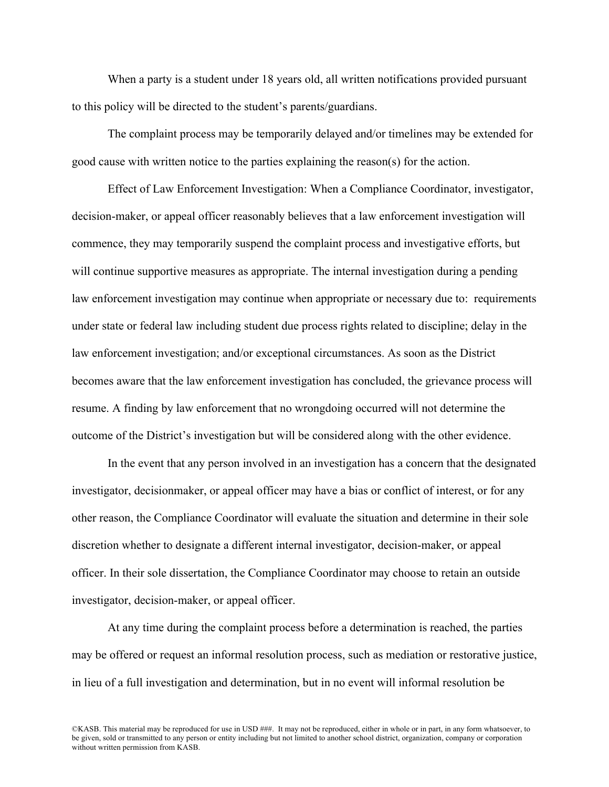When a party is a student under 18 years old, all written notifications provided pursuant to this policy will be directed to the student's parents/guardians.

The complaint process may be temporarily delayed and/or timelines may be extended for good cause with written notice to the parties explaining the reason(s) for the action.

Effect of Law Enforcement Investigation: When a Compliance Coordinator, investigator, decision-maker, or appeal officer reasonably believes that a law enforcement investigation will commence, they may temporarily suspend the complaint process and investigative efforts, but will continue supportive measures as appropriate. The internal investigation during a pending law enforcement investigation may continue when appropriate or necessary due to: requirements under state or federal law including student due process rights related to discipline; delay in the law enforcement investigation; and/or exceptional circumstances. As soon as the District becomes aware that the law enforcement investigation has concluded, the grievance process will resume. A finding by law enforcement that no wrongdoing occurred will not determine the outcome of the District's investigation but will be considered along with the other evidence.

In the event that any person involved in an investigation has a concern that the designated investigator, decisionmaker, or appeal officer may have a bias or conflict of interest, or for any other reason, the Compliance Coordinator will evaluate the situation and determine in their sole discretion whether to designate a different internal investigator, decision-maker, or appeal officer. In their sole dissertation, the Compliance Coordinator may choose to retain an outside investigator, decision-maker, or appeal officer.

At any time during the complaint process before a determination is reached, the parties may be offered or request an informal resolution process, such as mediation or restorative justice, in lieu of a full investigation and determination, but in no event will informal resolution be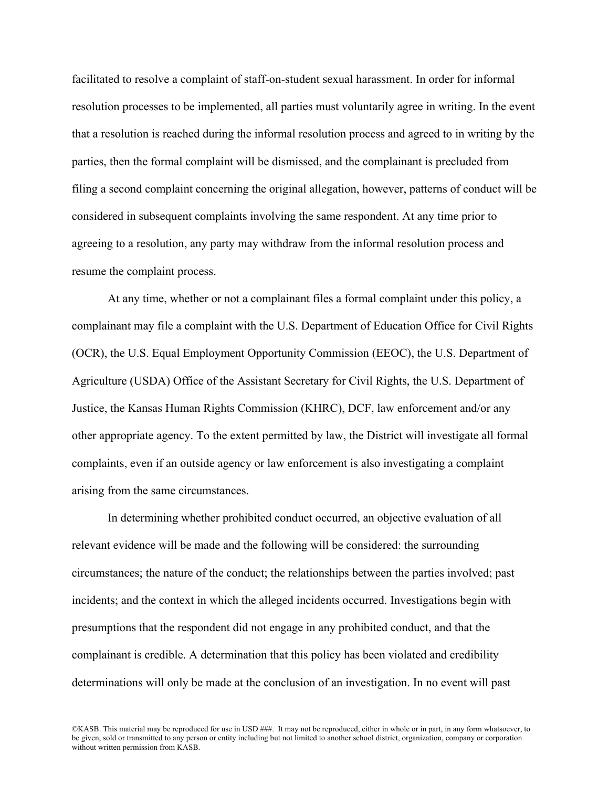facilitated to resolve a complaint of staff-on-student sexual harassment. In order for informal resolution processes to be implemented, all parties must voluntarily agree in writing. In the event that a resolution is reached during the informal resolution process and agreed to in writing by the parties, then the formal complaint will be dismissed, and the complainant is precluded from filing a second complaint concerning the original allegation, however, patterns of conduct will be considered in subsequent complaints involving the same respondent. At any time prior to agreeing to a resolution, any party may withdraw from the informal resolution process and resume the complaint process.

At any time, whether or not a complainant files a formal complaint under this policy, a complainant may file a complaint with the U.S. Department of Education Office for Civil Rights (OCR), the U.S. Equal Employment Opportunity Commission (EEOC), the U.S. Department of Agriculture (USDA) Office of the Assistant Secretary for Civil Rights, the U.S. Department of Justice, the Kansas Human Rights Commission (KHRC), DCF, law enforcement and/or any other appropriate agency. To the extent permitted by law, the District will investigate all formal complaints, even if an outside agency or law enforcement is also investigating a complaint arising from the same circumstances.

In determining whether prohibited conduct occurred, an objective evaluation of all relevant evidence will be made and the following will be considered: the surrounding circumstances; the nature of the conduct; the relationships between the parties involved; past incidents; and the context in which the alleged incidents occurred. Investigations begin with presumptions that the respondent did not engage in any prohibited conduct, and that the complainant is credible. A determination that this policy has been violated and credibility determinations will only be made at the conclusion of an investigation. In no event will past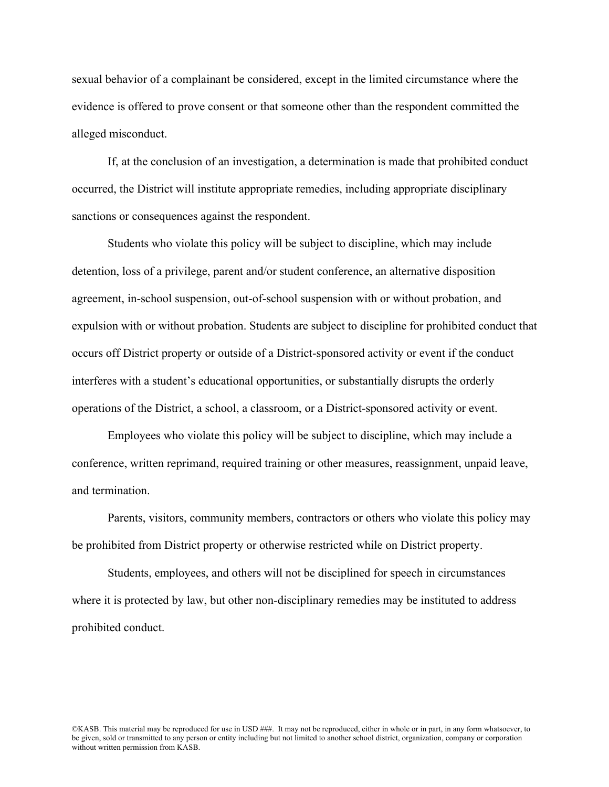sexual behavior of a complainant be considered, except in the limited circumstance where the evidence is offered to prove consent or that someone other than the respondent committed the alleged misconduct.

If, at the conclusion of an investigation, a determination is made that prohibited conduct occurred, the District will institute appropriate remedies, including appropriate disciplinary sanctions or consequences against the respondent.

Students who violate this policy will be subject to discipline, which may include detention, loss of a privilege, parent and/or student conference, an alternative disposition agreement, in-school suspension, out-of-school suspension with or without probation, and expulsion with or without probation. Students are subject to discipline for prohibited conduct that occurs off District property or outside of a District-sponsored activity or event if the conduct interferes with a student's educational opportunities, or substantially disrupts the orderly operations of the District, a school, a classroom, or a District-sponsored activity or event.

Employees who violate this policy will be subject to discipline, which may include a conference, written reprimand, required training or other measures, reassignment, unpaid leave, and termination.

Parents, visitors, community members, contractors or others who violate this policy may be prohibited from District property or otherwise restricted while on District property.

Students, employees, and others will not be disciplined for speech in circumstances where it is protected by law, but other non-disciplinary remedies may be instituted to address prohibited conduct.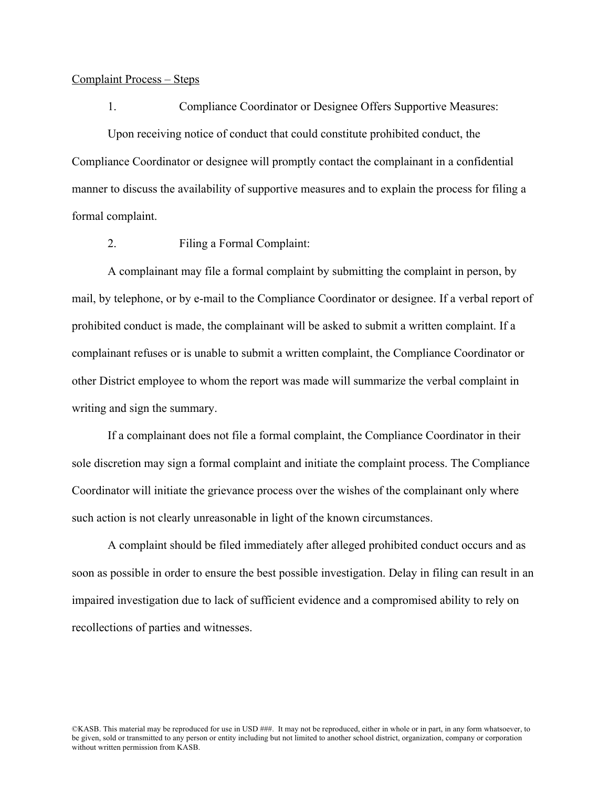## Complaint Process – Steps

1. Compliance Coordinator or Designee Offers Supportive Measures:

Upon receiving notice of conduct that could constitute prohibited conduct, the Compliance Coordinator or designee will promptly contact the complainant in a confidential manner to discuss the availability of supportive measures and to explain the process for filing a formal complaint.

2. Filing a Formal Complaint:

A complainant may file a formal complaint by submitting the complaint in person, by mail, by telephone, or by e-mail to the Compliance Coordinator or designee. If a verbal report of prohibited conduct is made, the complainant will be asked to submit a written complaint. If a complainant refuses or is unable to submit a written complaint, the Compliance Coordinator or other District employee to whom the report was made will summarize the verbal complaint in writing and sign the summary.

If a complainant does not file a formal complaint, the Compliance Coordinator in their sole discretion may sign a formal complaint and initiate the complaint process. The Compliance Coordinator will initiate the grievance process over the wishes of the complainant only where such action is not clearly unreasonable in light of the known circumstances.

A complaint should be filed immediately after alleged prohibited conduct occurs and as soon as possible in order to ensure the best possible investigation. Delay in filing can result in an impaired investigation due to lack of sufficient evidence and a compromised ability to rely on recollections of parties and witnesses.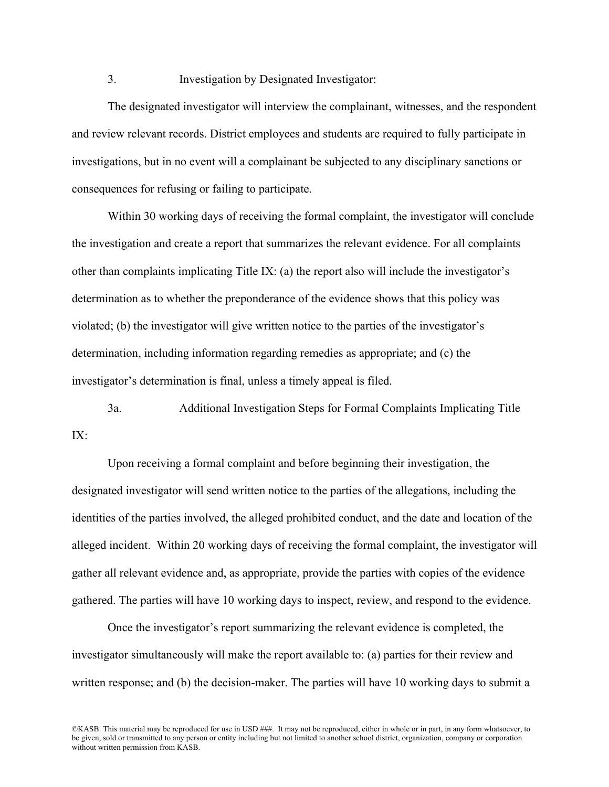## 3. Investigation by Designated Investigator:

The designated investigator will interview the complainant, witnesses, and the respondent and review relevant records. District employees and students are required to fully participate in investigations, but in no event will a complainant be subjected to any disciplinary sanctions or consequences for refusing or failing to participate.

Within 30 working days of receiving the formal complaint, the investigator will conclude the investigation and create a report that summarizes the relevant evidence. For all complaints other than complaints implicating Title IX: (a) the report also will include the investigator's determination as to whether the preponderance of the evidence shows that this policy was violated; (b) the investigator will give written notice to the parties of the investigator's determination, including information regarding remedies as appropriate; and (c) the investigator's determination is final, unless a timely appeal is filed.

3a. Additional Investigation Steps for Formal Complaints Implicating Title  $IX:$ 

Upon receiving a formal complaint and before beginning their investigation, the designated investigator will send written notice to the parties of the allegations, including the identities of the parties involved, the alleged prohibited conduct, and the date and location of the alleged incident. Within 20 working days of receiving the formal complaint, the investigator will gather all relevant evidence and, as appropriate, provide the parties with copies of the evidence gathered. The parties will have 10 working days to inspect, review, and respond to the evidence.

Once the investigator's report summarizing the relevant evidence is completed, the investigator simultaneously will make the report available to: (a) parties for their review and written response; and (b) the decision-maker. The parties will have 10 working days to submit a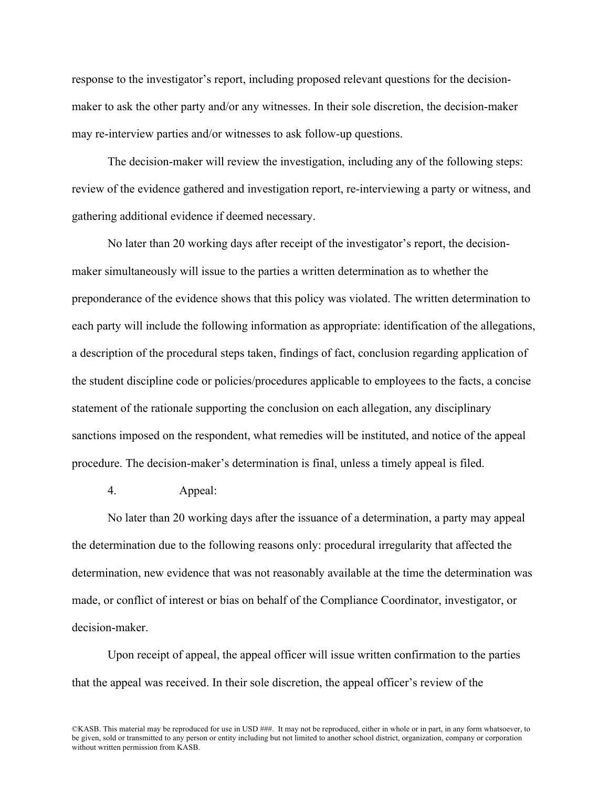response to the investigator's report, including proposed relevant questions for the decisionmaker to ask the other party and/or any witnesses. In their sole discretion, the decision-maker may re-interview parties and/or witnesses to ask follow-up questions.

The decision-maker will review the investigation, including any of the following steps: review of the evidence gathered and investigation report, re-interviewing a party or witness, and gathering additional evidence if deemed necessary.

No later than 20 working days after receipt of the investigator's report, the decisionmaker simultaneously will issue to the parties a written determination as to whether the preponderance of the evidence shows that this policy was violated. The written determination to each party will include the following information as appropriate: identification of the allegations, a description of the procedural steps taken, findings of fact, conclusion regarding application of the student discipline code or policies/procedures applicable to employees to the facts, a concise statement of the rationale supporting the conclusion on each allegation, any disciplinary sanctions imposed on the respondent, what remedies will be instituted, and notice of the appeal procedure. The decision-maker's determination is final, unless a timely appeal is filed.

4. Appeal:

No later than 20 working days after the issuance of a determination, a party may appeal the determination due to the following reasons only: procedural irregularity that affected the determination, new evidence that was not reasonably available at the time the determination was made, or conflict of interest or bias on behalf of the Compliance Coordinator, investigator, or decision-maker.

Upon receipt of appeal, the appeal officer will issue written confirmation to the parties that the appeal was received. In their sole discretion, the appeal officer's review of the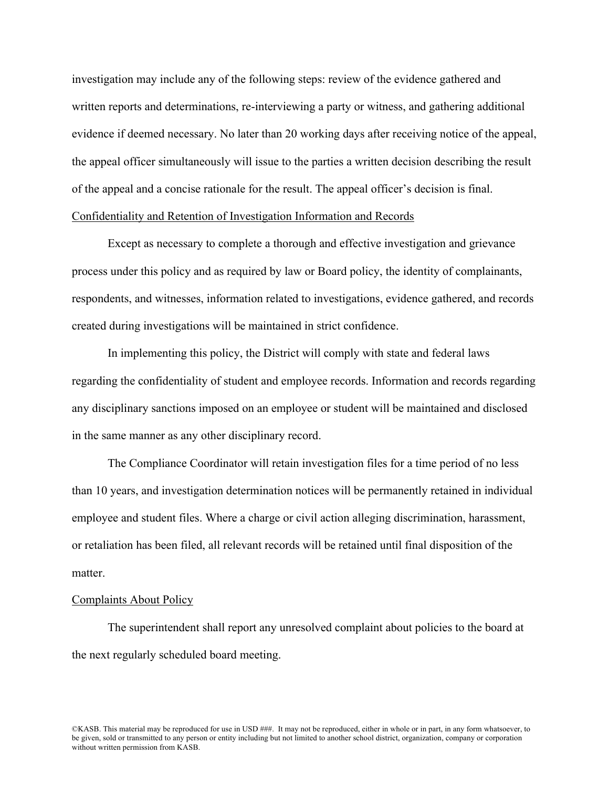investigation may include any of the following steps: review of the evidence gathered and written reports and determinations, re-interviewing a party or witness, and gathering additional evidence if deemed necessary. No later than 20 working days after receiving notice of the appeal, the appeal officer simultaneously will issue to the parties a written decision describing the result of the appeal and a concise rationale for the result. The appeal officer's decision is final. Confidentiality and Retention of Investigation Information and Records

Except as necessary to complete a thorough and effective investigation and grievance process under this policy and as required by law or Board policy, the identity of complainants, respondents, and witnesses, information related to investigations, evidence gathered, and records created during investigations will be maintained in strict confidence.

In implementing this policy, the District will comply with state and federal laws regarding the confidentiality of student and employee records. Information and records regarding any disciplinary sanctions imposed on an employee or student will be maintained and disclosed in the same manner as any other disciplinary record.

The Compliance Coordinator will retain investigation files for a time period of no less than 10 years, and investigation determination notices will be permanently retained in individual employee and student files. Where a charge or civil action alleging discrimination, harassment, or retaliation has been filed, all relevant records will be retained until final disposition of the matter.

#### Complaints About Policy

The superintendent shall report any unresolved complaint about policies to the board at the next regularly scheduled board meeting.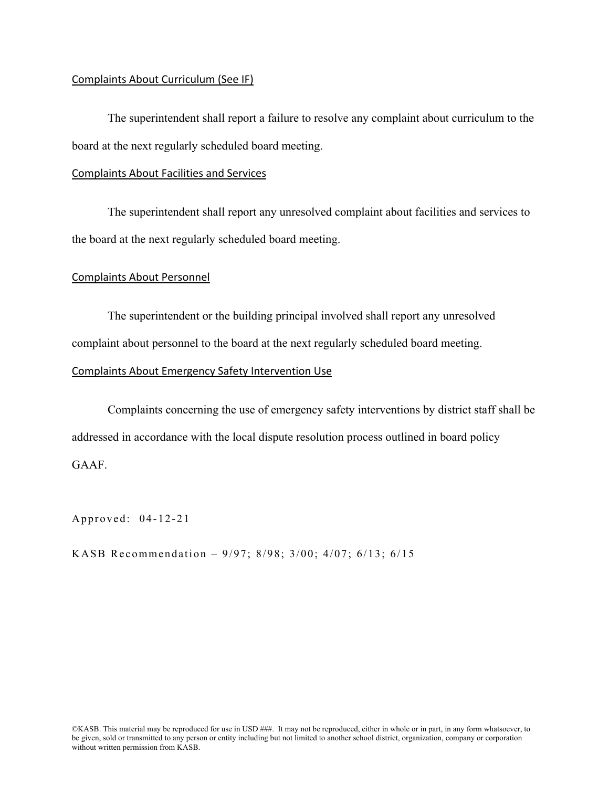## Complaints About Curriculum (See IF)

The superintendent shall report a failure to resolve any complaint about curriculum to the board at the next regularly scheduled board meeting.

#### Complaints About Facilities and Services

The superintendent shall report any unresolved complaint about facilities and services to the board at the next regularly scheduled board meeting.

#### Complaints About Personnel

The superintendent or the building principal involved shall report any unresolved complaint about personnel to the board at the next regularly scheduled board meeting.

## Complaints About Emergency Safety Intervention Use

Complaints concerning the use of emergency safety interventions by district staff shall be addressed in accordance with the local dispute resolution process outlined in board policy GAAF.

Approved: 04-12-21

KASB Recommendation – 9/97; 8/98; 3/00; 4/07; 6/13; 6/15